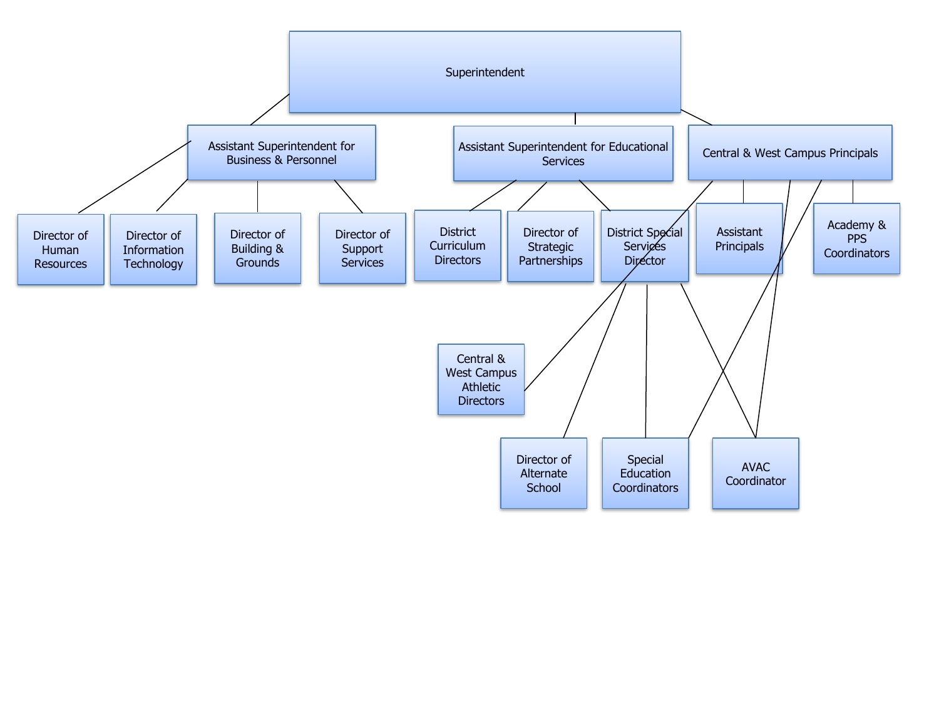